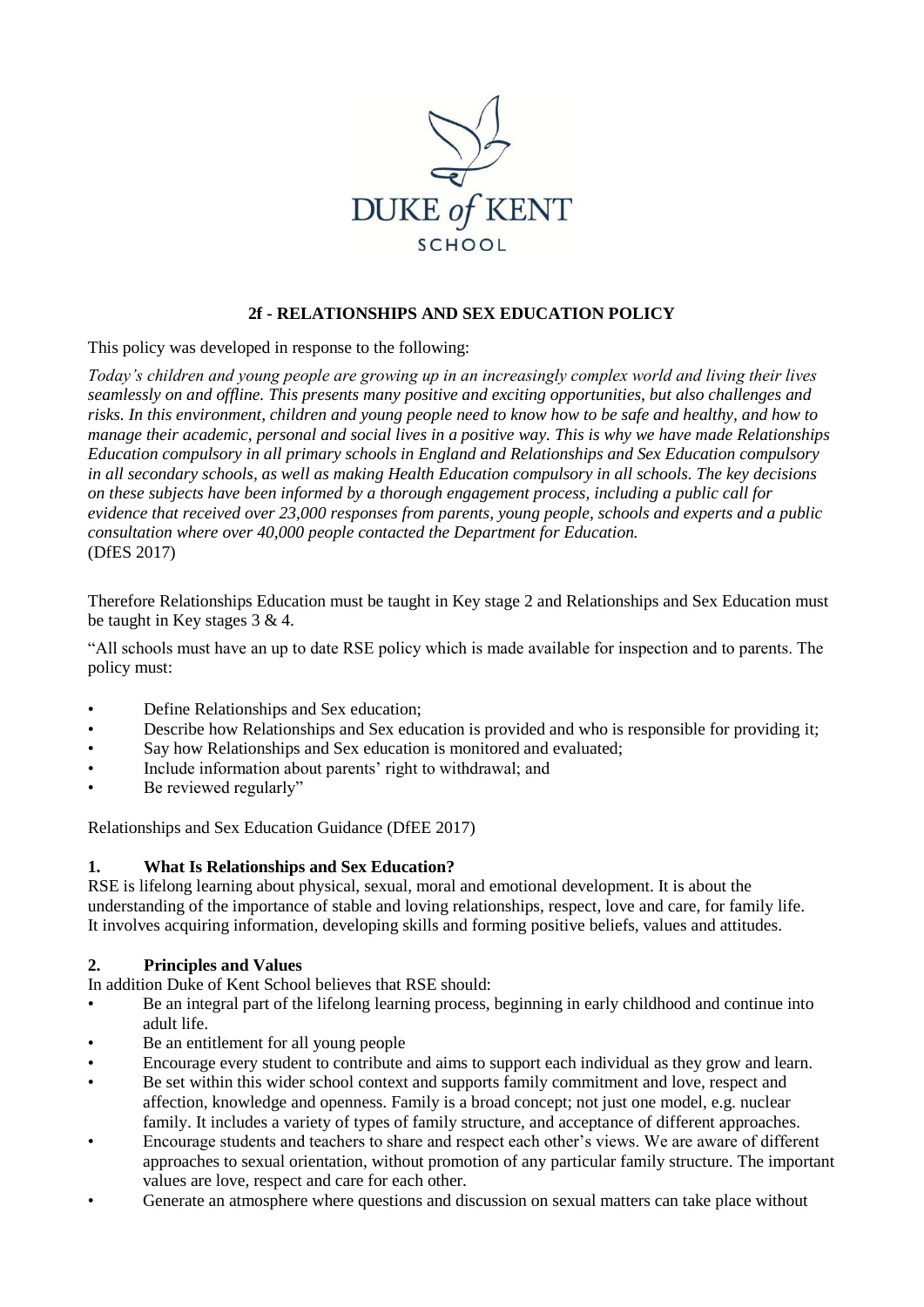

## **2f - RELATIONSHIPS AND SEX EDUCATION POLICY**

This policy was developed in response to the following:

*Today's children and young people are growing up in an increasingly complex world and living their lives seamlessly on and offline. This presents many positive and exciting opportunities, but also challenges and risks. In this environment, children and young people need to know how to be safe and healthy, and how to manage their academic, personal and social lives in a positive way. This is why we have made Relationships Education compulsory in all primary schools in England and Relationships and Sex Education compulsory in all secondary schools, as well as making Health Education compulsory in all schools. The key decisions on these subjects have been informed by a thorough engagement process, including a public call for evidence that received over 23,000 responses from parents, young people, schools and experts and a public consultation where over 40,000 people contacted the Department for Education.* (DfES 2017)

Therefore Relationships Education must be taught in Key stage 2 and Relationships and Sex Education must be taught in Key stages 3 & 4.

"All schools must have an up to date RSE policy which is made available for inspection and to parents. The policy must:

- Define Relationships and Sex education;
- Describe how Relationships and Sex education is provided and who is responsible for providing it;
- Say how Relationships and Sex education is monitored and evaluated;
- Include information about parents' right to withdrawal; and
- Be reviewed regularly"

Relationships and Sex Education Guidance (DfEE 2017)

#### **1. What Is Relationships and Sex Education?**

RSE is lifelong learning about physical, sexual, moral and emotional development. It is about the understanding of the importance of stable and loving relationships, respect, love and care, for family life. It involves acquiring information, developing skills and forming positive beliefs, values and attitudes.

## **2. Principles and Values**

In addition Duke of Kent School believes that RSE should:

- Be an integral part of the lifelong learning process, beginning in early childhood and continue into adult life.
- Be an entitlement for all young people
- Encourage every student to contribute and aims to support each individual as they grow and learn.
- Be set within this wider school context and supports family commitment and love, respect and affection, knowledge and openness. Family is a broad concept; not just one model, e.g. nuclear family. It includes a variety of types of family structure, and acceptance of different approaches.
- Encourage students and teachers to share and respect each other's views. We are aware of different approaches to sexual orientation, without promotion of any particular family structure. The important values are love, respect and care for each other.
- Generate an atmosphere where questions and discussion on sexual matters can take place without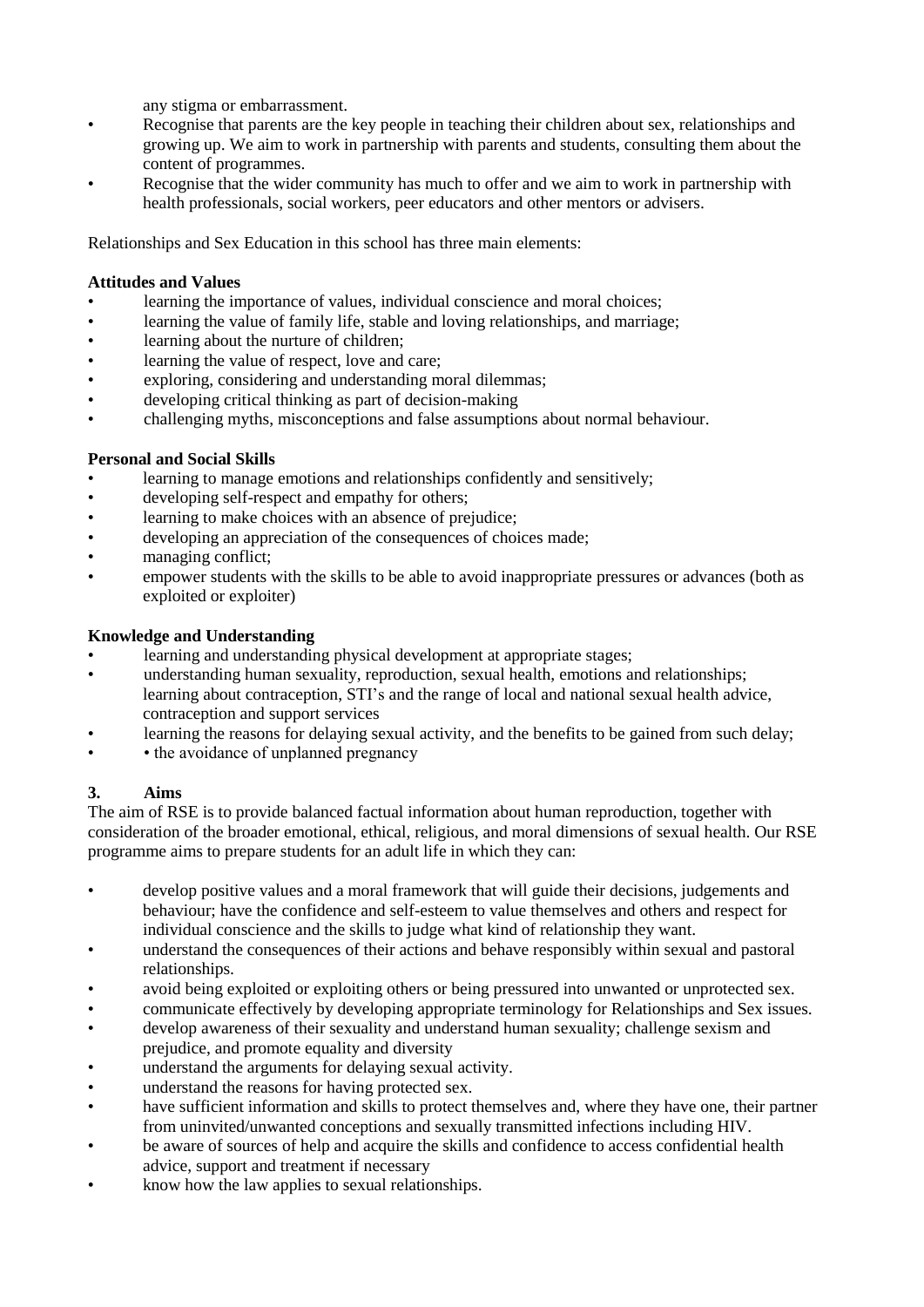any stigma or embarrassment.

- Recognise that parents are the key people in teaching their children about sex, relationships and growing up. We aim to work in partnership with parents and students, consulting them about the content of programmes.
- Recognise that the wider community has much to offer and we aim to work in partnership with health professionals, social workers, peer educators and other mentors or advisers.

Relationships and Sex Education in this school has three main elements:

#### **Attitudes and Values**

- learning the importance of values, individual conscience and moral choices;
- learning the value of family life, stable and loving relationships, and marriage;
- learning about the nurture of children;
- learning the value of respect, love and care;
- exploring, considering and understanding moral dilemmas;
- developing critical thinking as part of decision-making
- challenging myths, misconceptions and false assumptions about normal behaviour.

#### **Personal and Social Skills**

- learning to manage emotions and relationships confidently and sensitively;
- developing self-respect and empathy for others;
- learning to make choices with an absence of prejudice;
- developing an appreciation of the consequences of choices made:
- managing conflict:
- empower students with the skills to be able to avoid inappropriate pressures or advances (both as exploited or exploiter)

#### **Knowledge and Understanding**

- learning and understanding physical development at appropriate stages;
- understanding human sexuality, reproduction, sexual health, emotions and relationships; learning about contraception, STI's and the range of local and national sexual health advice, contraception and support services
- learning the reasons for delaying sexual activity, and the benefits to be gained from such delay;
- the avoidance of unplanned pregnancy

## **3. Aims**

The aim of RSE is to provide balanced factual information about human reproduction, together with consideration of the broader emotional, ethical, religious, and moral dimensions of sexual health. Our RSE programme aims to prepare students for an adult life in which they can:

- develop positive values and a moral framework that will guide their decisions, judgements and behaviour; have the confidence and self-esteem to value themselves and others and respect for individual conscience and the skills to judge what kind of relationship they want.
- understand the consequences of their actions and behave responsibly within sexual and pastoral relationships.
- avoid being exploited or exploiting others or being pressured into unwanted or unprotected sex.
- communicate effectively by developing appropriate terminology for Relationships and Sex issues.
- develop awareness of their sexuality and understand human sexuality; challenge sexism and prejudice, and promote equality and diversity
- understand the arguments for delaying sexual activity.
- understand the reasons for having protected sex.
- have sufficient information and skills to protect themselves and, where they have one, their partner from uninvited/unwanted conceptions and sexually transmitted infections including HIV.
- be aware of sources of help and acquire the skills and confidence to access confidential health advice, support and treatment if necessary
- know how the law applies to sexual relationships.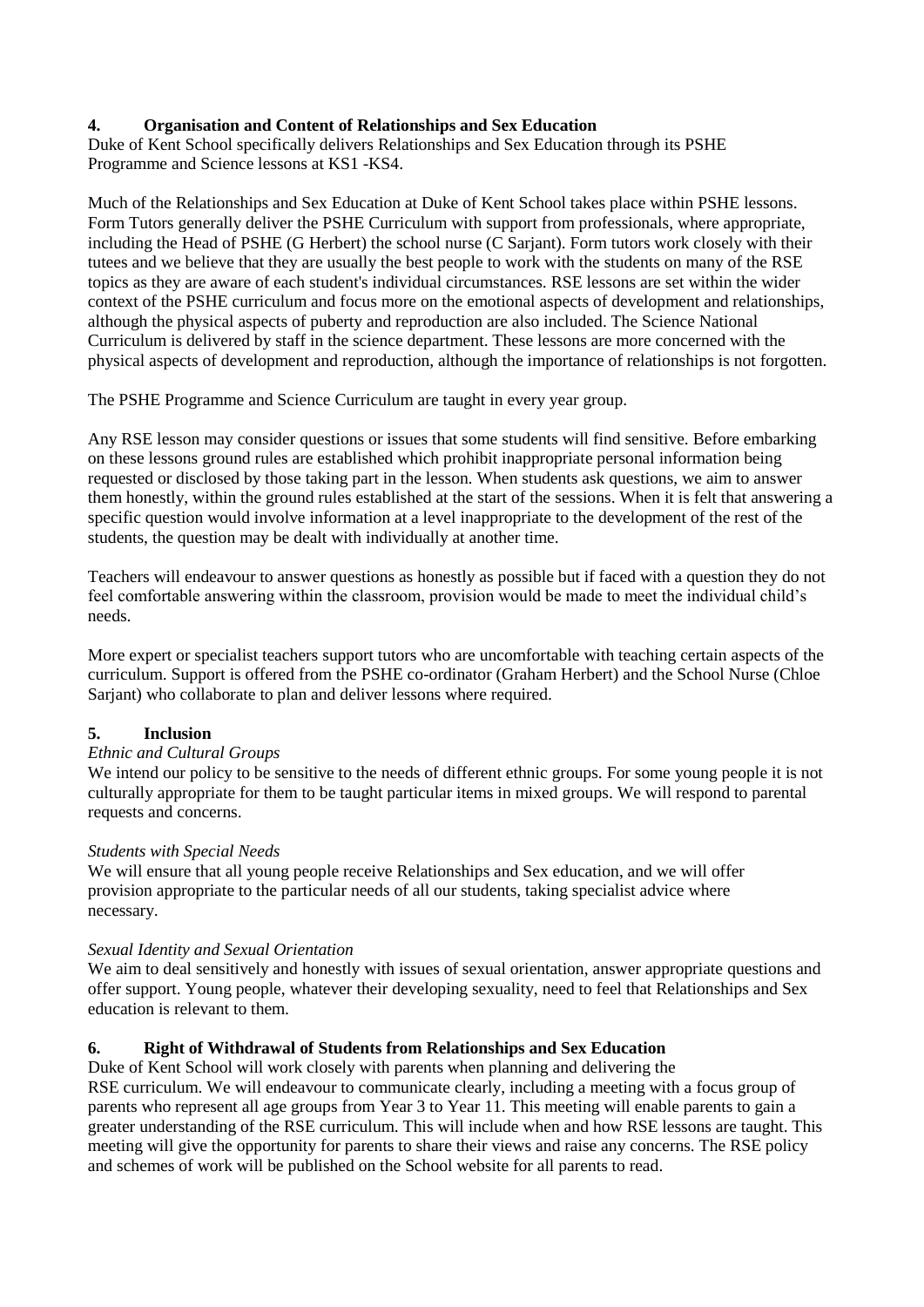## **4. Organisation and Content of Relationships and Sex Education**

Duke of Kent School specifically delivers Relationships and Sex Education through its PSHE Programme and Science lessons at KS1 -KS4.

Much of the Relationships and Sex Education at Duke of Kent School takes place within PSHE lessons. Form Tutors generally deliver the PSHE Curriculum with support from professionals, where appropriate, including the Head of PSHE (G Herbert) the school nurse (C Sarjant). Form tutors work closely with their tutees and we believe that they are usually the best people to work with the students on many of the RSE topics as they are aware of each student's individual circumstances. RSE lessons are set within the wider context of the PSHE curriculum and focus more on the emotional aspects of development and relationships, although the physical aspects of puberty and reproduction are also included. The Science National Curriculum is delivered by staff in the science department. These lessons are more concerned with the physical aspects of development and reproduction, although the importance of relationships is not forgotten.

The PSHE Programme and Science Curriculum are taught in every year group.

Any RSE lesson may consider questions or issues that some students will find sensitive. Before embarking on these lessons ground rules are established which prohibit inappropriate personal information being requested or disclosed by those taking part in the lesson. When students ask questions, we aim to answer them honestly, within the ground rules established at the start of the sessions. When it is felt that answering a specific question would involve information at a level inappropriate to the development of the rest of the students, the question may be dealt with individually at another time.

Teachers will endeavour to answer questions as honestly as possible but if faced with a question they do not feel comfortable answering within the classroom, provision would be made to meet the individual child's needs.

More expert or specialist teachers support tutors who are uncomfortable with teaching certain aspects of the curriculum. Support is offered from the PSHE co-ordinator (Graham Herbert) and the School Nurse (Chloe Sarjant) who collaborate to plan and deliver lessons where required.

## **5. Inclusion**

#### *Ethnic and Cultural Groups*

We intend our policy to be sensitive to the needs of different ethnic groups. For some young people it is not culturally appropriate for them to be taught particular items in mixed groups. We will respond to parental requests and concerns.

#### *Students with Special Needs*

We will ensure that all young people receive Relationships and Sex education, and we will offer provision appropriate to the particular needs of all our students, taking specialist advice where necessary.

#### *Sexual Identity and Sexual Orientation*

We aim to deal sensitively and honestly with issues of sexual orientation, answer appropriate questions and offer support. Young people, whatever their developing sexuality, need to feel that Relationships and Sex education is relevant to them.

## **6. Right of Withdrawal of Students from Relationships and Sex Education**

Duke of Kent School will work closely with parents when planning and delivering the RSE curriculum. We will endeavour to communicate clearly, including a meeting with a focus group of parents who represent all age groups from Year 3 to Year 11. This meeting will enable parents to gain a greater understanding of the RSE curriculum. This will include when and how RSE lessons are taught. This meeting will give the opportunity for parents to share their views and raise any concerns. The RSE policy and schemes of work will be published on the School website for all parents to read.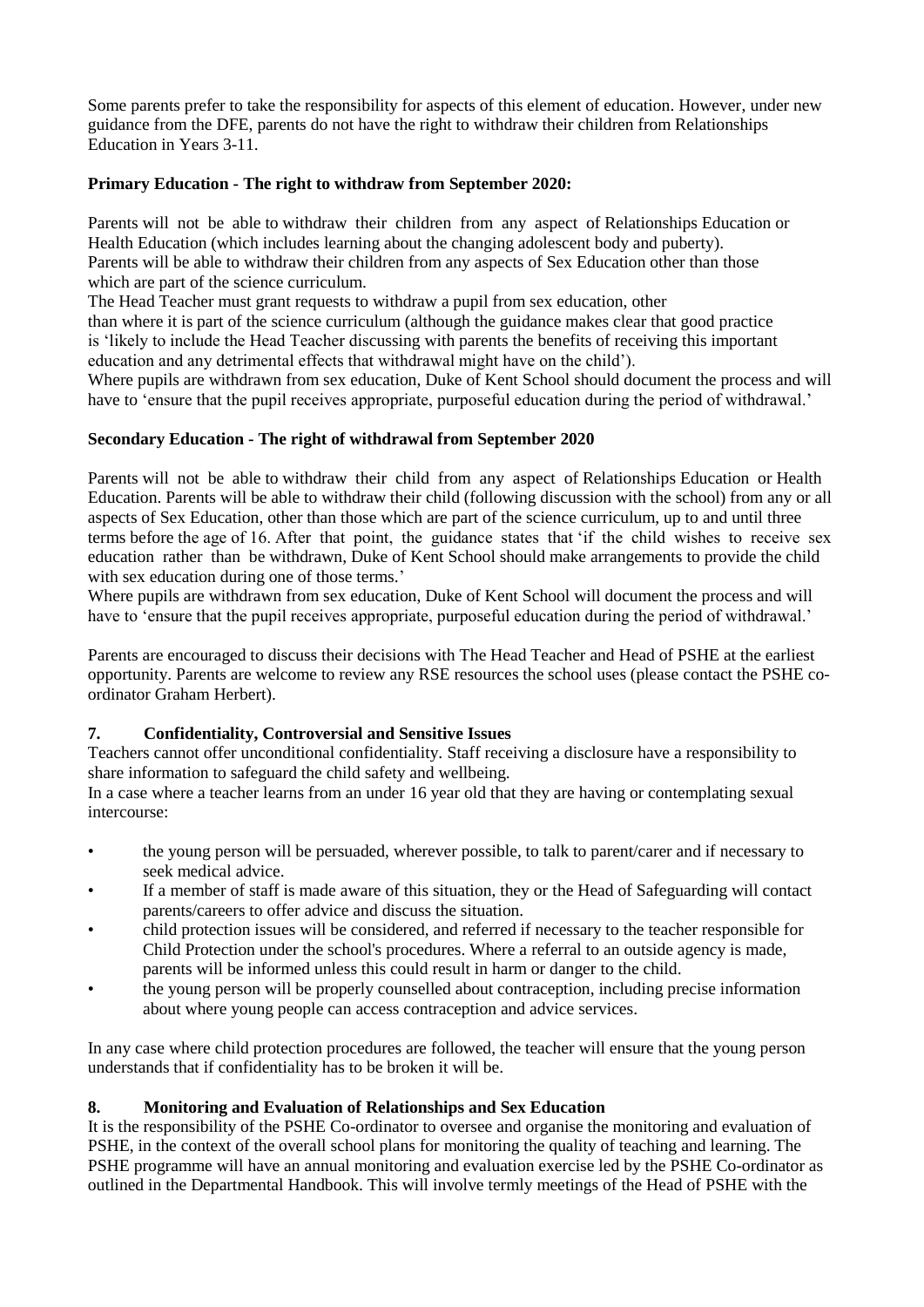Some parents prefer to take the responsibility for aspects of this element of education. However, under new guidance from the DFE, parents do not have the right to withdraw their children from Relationships Education in Years 3-11.

#### **Primary Education - The right to withdraw from September 2020:**

Parents will not be able to withdraw their children from any aspect of Relationships Education or Health Education (which includes learning about the changing adolescent body and puberty). Parents will be able to withdraw their children from any aspects of Sex Education other than those which are part of the science curriculum.

The Head Teacher must grant requests to withdraw a pupil from sex education, other

than where it is part of the science curriculum (although the guidance makes clear that good practice is 'likely to include the Head Teacher discussing with parents the benefits of receiving this important education and any detrimental effects that withdrawal might have on the child').

Where pupils are withdrawn from sex education, Duke of Kent School should document the process and will have to 'ensure that the pupil receives appropriate, purposeful education during the period of withdrawal.'

#### **Secondary Education - The right of withdrawal from September 2020**

Parents will not be able to withdraw their child from any aspect of Relationships Education or Health Education. Parents will be able to withdraw their child (following discussion with the school) from any or all aspects of Sex Education, other than those which are part of the science curriculum, up to and until three terms before the age of 16. After that point, the guidance states that 'if the child wishes to receive sex education rather than be withdrawn, Duke of Kent School should make arrangements to provide the child with sex education during one of those terms.'

Where pupils are withdrawn from sex education, Duke of Kent School will document the process and will have to 'ensure that the pupil receives appropriate, purposeful education during the period of withdrawal.'

Parents are encouraged to discuss their decisions with The Head Teacher and Head of PSHE at the earliest opportunity. Parents are welcome to review any RSE resources the school uses (please contact the PSHE coordinator Graham Herbert).

#### **7. Confidentiality, Controversial and Sensitive Issues**

Teachers cannot offer unconditional confidentiality. Staff receiving a disclosure have a responsibility to share information to safeguard the child safety and wellbeing.

In a case where a teacher learns from an under 16 year old that they are having or contemplating sexual intercourse:

- the young person will be persuaded, wherever possible, to talk to parent/carer and if necessary to seek medical advice.
- If a member of staff is made aware of this situation, they or the Head of Safeguarding will contact parents/careers to offer advice and discuss the situation.
- child protection issues will be considered, and referred if necessary to the teacher responsible for Child Protection under the school's procedures. Where a referral to an outside agency is made, parents will be informed unless this could result in harm or danger to the child.
- the young person will be properly counselled about contraception, including precise information about where young people can access contraception and advice services.

In any case where child protection procedures are followed, the teacher will ensure that the young person understands that if confidentiality has to be broken it will be.

## **8. Monitoring and Evaluation of Relationships and Sex Education**

It is the responsibility of the PSHE Co-ordinator to oversee and organise the monitoring and evaluation of PSHE, in the context of the overall school plans for monitoring the quality of teaching and learning. The PSHE programme will have an annual monitoring and evaluation exercise led by the PSHE Co-ordinator as outlined in the Departmental Handbook. This will involve termly meetings of the Head of PSHE with the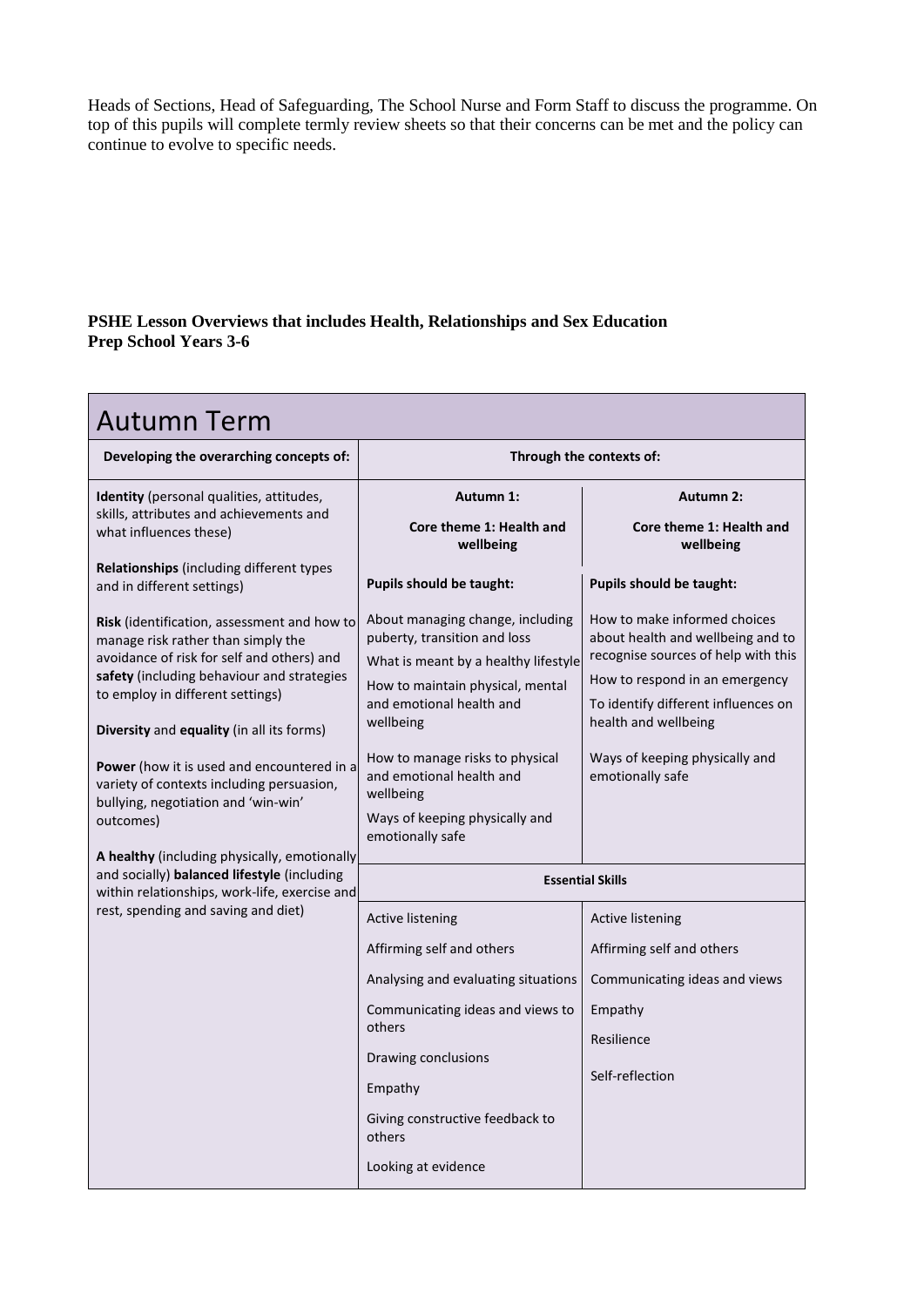Heads of Sections, Head of Safeguarding, The School Nurse and Form Staff to discuss the programme. On top of this pupils will complete termly review sheets so that their concerns can be met and the policy can continue to evolve to specific needs.

## **PSHE Lesson Overviews that includes Health, Relationships and Sex Education Prep School Years 3-6**

| <b>Autumn Term</b>                                                                                                                                 |                                                                          |                                                                       |  |
|----------------------------------------------------------------------------------------------------------------------------------------------------|--------------------------------------------------------------------------|-----------------------------------------------------------------------|--|
| Developing the overarching concepts of:                                                                                                            | Through the contexts of:                                                 |                                                                       |  |
| <b>Identity</b> (personal qualities, attitudes,<br>skills, attributes and achievements and                                                         | <b>Autumn 1:</b>                                                         | <b>Autumn 2:</b>                                                      |  |
| what influences these)                                                                                                                             | Core theme 1: Health and<br>wellbeing                                    | Core theme 1: Health and<br>wellbeing                                 |  |
| Relationships (including different types<br>and in different settings)                                                                             | <b>Pupils should be taught:</b>                                          | Pupils should be taught:                                              |  |
| <b>Risk</b> (identification, assessment and how to<br>manage risk rather than simply the                                                           | About managing change, including<br>puberty, transition and loss         | How to make informed choices<br>about health and wellbeing and to     |  |
| avoidance of risk for self and others) and                                                                                                         | What is meant by a healthy lifestyle                                     | recognise sources of help with this                                   |  |
| safety (including behaviour and strategies<br>to employ in different settings)                                                                     | How to maintain physical, mental<br>and emotional health and             | How to respond in an emergency<br>To identify different influences on |  |
| Diversity and equality (in all its forms)                                                                                                          | wellbeing                                                                | health and wellbeing                                                  |  |
| <b>Power</b> (how it is used and encountered in a<br>variety of contexts including persuasion,<br>bullying, negotiation and 'win-win'<br>outcomes) | How to manage risks to physical<br>and emotional health and<br>wellbeing | Ways of keeping physically and<br>emotionally safe                    |  |
|                                                                                                                                                    | Ways of keeping physically and<br>emotionally safe                       |                                                                       |  |
| A healthy (including physically, emotionally<br>and socially) balanced lifestyle (including                                                        | <b>Essential Skills</b>                                                  |                                                                       |  |
| within relationships, work-life, exercise and                                                                                                      |                                                                          |                                                                       |  |
| rest, spending and saving and diet)                                                                                                                | <b>Active listening</b>                                                  | <b>Active listening</b>                                               |  |
|                                                                                                                                                    | Affirming self and others                                                | Affirming self and others                                             |  |
|                                                                                                                                                    | Analysing and evaluating situations                                      | Communicating ideas and views                                         |  |
|                                                                                                                                                    | Communicating ideas and views to<br>others                               | Empathy                                                               |  |
|                                                                                                                                                    | Drawing conclusions                                                      | Resilience                                                            |  |
|                                                                                                                                                    | Empathy                                                                  | Self-reflection                                                       |  |
|                                                                                                                                                    | Giving constructive feedback to<br>others                                |                                                                       |  |
|                                                                                                                                                    | Looking at evidence                                                      |                                                                       |  |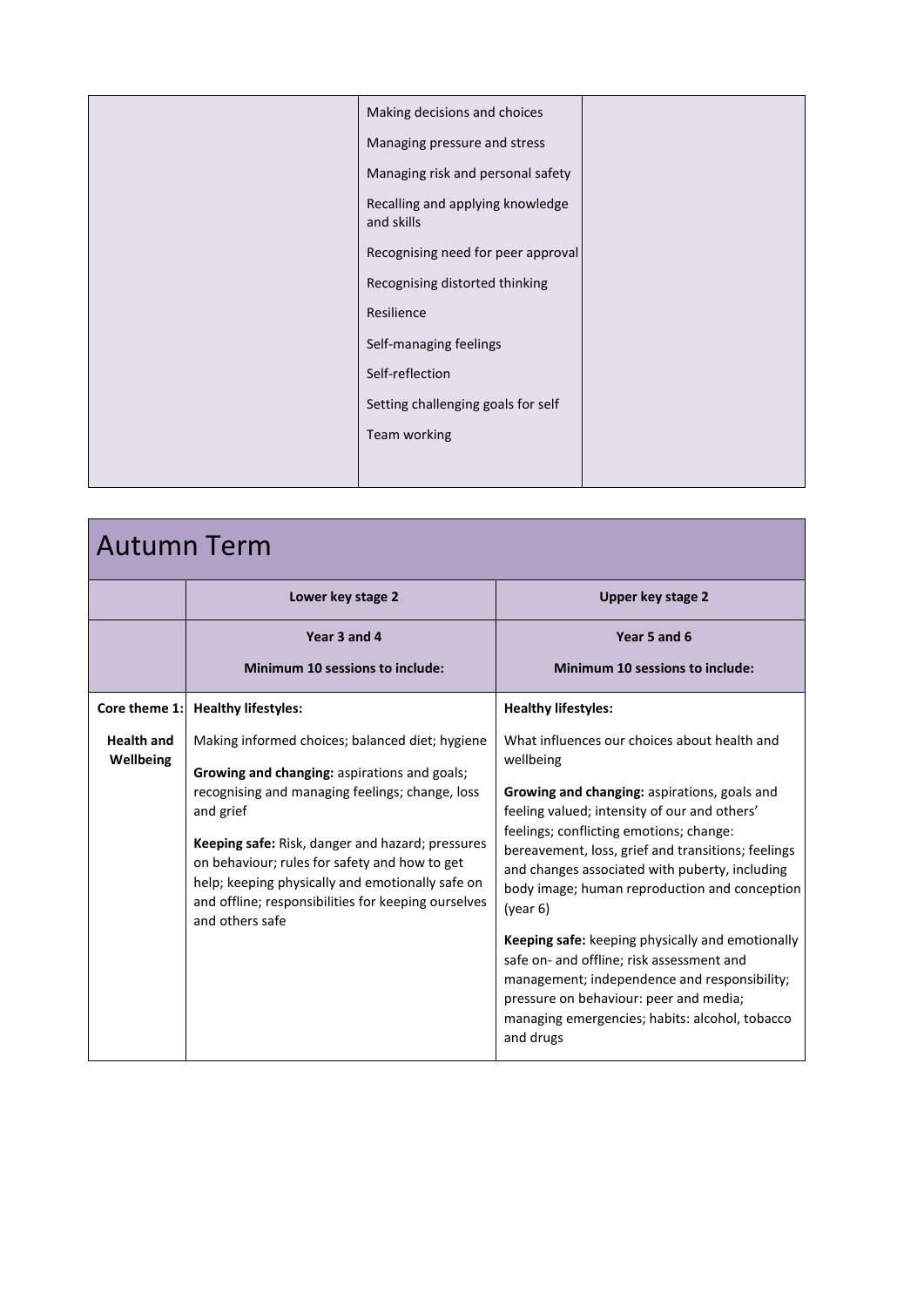| Making decisions and choices                   |  |
|------------------------------------------------|--|
| Managing pressure and stress                   |  |
| Managing risk and personal safety              |  |
| Recalling and applying knowledge<br>and skills |  |
| Recognising need for peer approval             |  |
| Recognising distorted thinking                 |  |
| Resilience                                     |  |
| Self-managing feelings                         |  |
| Self-reflection                                |  |
| Setting challenging goals for self             |  |
| Team working                                   |  |
|                                                |  |

| <b>Autumn Term</b>             |                                                                                                                                                                                                                                                                                                                                                                                                    |                                                                                                                                                                                                                                                                                                                                                                                                                                                                                                                                                                                                                                            |  |
|--------------------------------|----------------------------------------------------------------------------------------------------------------------------------------------------------------------------------------------------------------------------------------------------------------------------------------------------------------------------------------------------------------------------------------------------|--------------------------------------------------------------------------------------------------------------------------------------------------------------------------------------------------------------------------------------------------------------------------------------------------------------------------------------------------------------------------------------------------------------------------------------------------------------------------------------------------------------------------------------------------------------------------------------------------------------------------------------------|--|
|                                | Lower key stage 2                                                                                                                                                                                                                                                                                                                                                                                  | Upper key stage 2                                                                                                                                                                                                                                                                                                                                                                                                                                                                                                                                                                                                                          |  |
|                                | Year 3 and 4                                                                                                                                                                                                                                                                                                                                                                                       | Year 5 and 6                                                                                                                                                                                                                                                                                                                                                                                                                                                                                                                                                                                                                               |  |
|                                | Minimum 10 sessions to include:                                                                                                                                                                                                                                                                                                                                                                    | <b>Minimum 10 sessions to include:</b>                                                                                                                                                                                                                                                                                                                                                                                                                                                                                                                                                                                                     |  |
| Core theme 1:                  | <b>Healthy lifestyles:</b>                                                                                                                                                                                                                                                                                                                                                                         | <b>Healthy lifestyles:</b>                                                                                                                                                                                                                                                                                                                                                                                                                                                                                                                                                                                                                 |  |
| <b>Health and</b><br>Wellbeing | Making informed choices; balanced diet; hygiene<br>Growing and changing: aspirations and goals;<br>recognising and managing feelings; change, loss<br>and grief<br>Keeping safe: Risk, danger and hazard; pressures<br>on behaviour; rules for safety and how to get<br>help; keeping physically and emotionally safe on<br>and offline; responsibilities for keeping ourselves<br>and others safe | What influences our choices about health and<br>wellbeing<br><b>Growing and changing: aspirations, goals and</b><br>feeling valued; intensity of our and others'<br>feelings; conflicting emotions; change:<br>bereavement, loss, grief and transitions; feelings<br>and changes associated with puberty, including<br>body image; human reproduction and conception<br>(year 6)<br>Keeping safe: keeping physically and emotionally<br>safe on- and offline; risk assessment and<br>management; independence and responsibility;<br>pressure on behaviour: peer and media;<br>managing emergencies; habits: alcohol, tobacco<br>and drugs |  |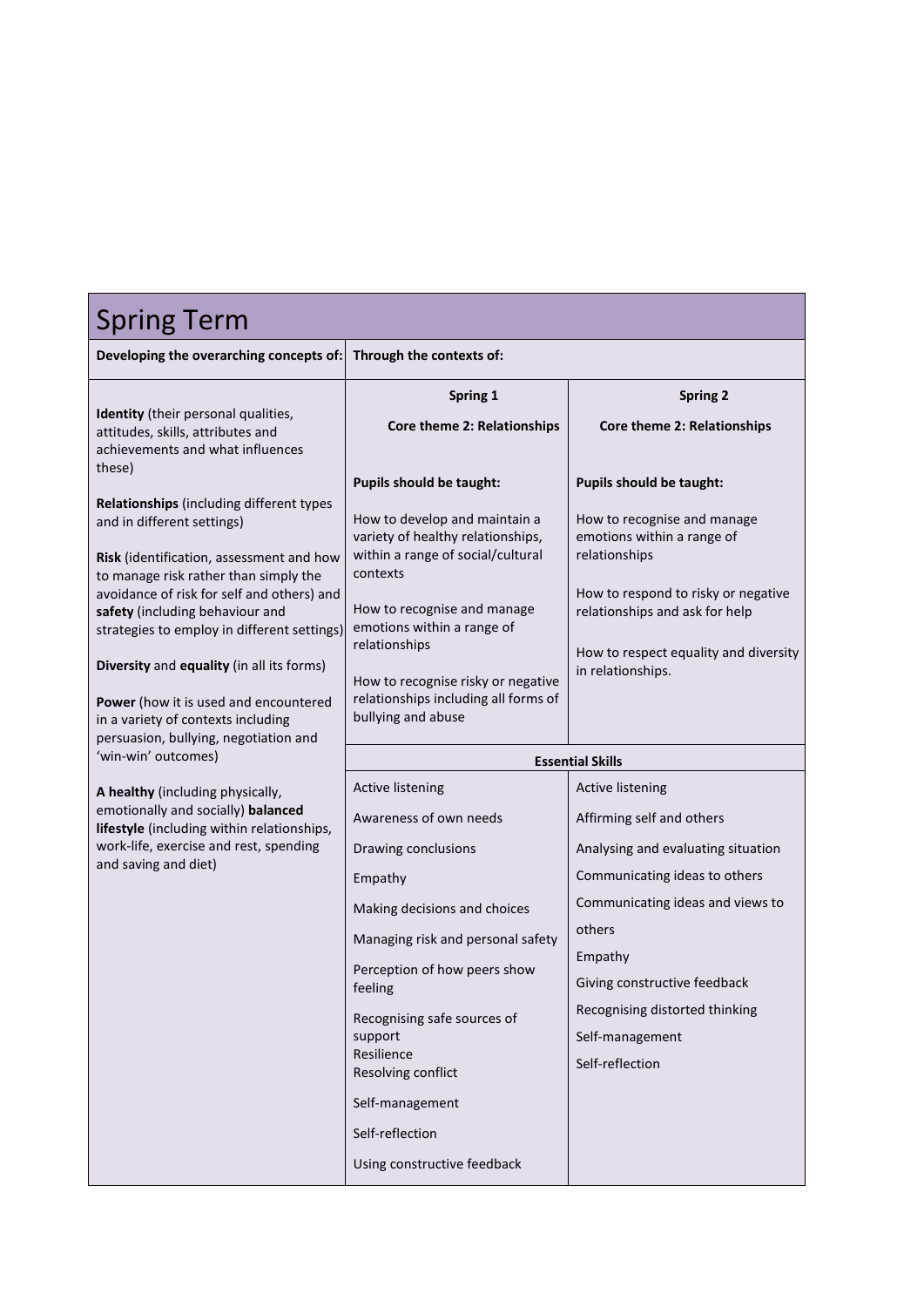| <b>Spring Term</b>                                                                                                                          |                                                                    |                                                                       |  |
|---------------------------------------------------------------------------------------------------------------------------------------------|--------------------------------------------------------------------|-----------------------------------------------------------------------|--|
| Developing the overarching concepts of:                                                                                                     | Through the contexts of:                                           |                                                                       |  |
|                                                                                                                                             | Spring 1                                                           | <b>Spring 2</b>                                                       |  |
| Identity (their personal qualities,<br>attitudes, skills, attributes and                                                                    | Core theme 2: Relationships                                        | Core theme 2: Relationships                                           |  |
| achievements and what influences                                                                                                            |                                                                    |                                                                       |  |
| these)                                                                                                                                      | Pupils should be taught:                                           | Pupils should be taught:                                              |  |
| Relationships (including different types<br>and in different settings)                                                                      | How to develop and maintain a<br>variety of healthy relationships, | How to recognise and manage<br>emotions within a range of             |  |
| Risk (identification, assessment and how<br>to manage risk rather than simply the                                                           | within a range of social/cultural<br>contexts                      | relationships                                                         |  |
| avoidance of risk for self and others) and<br>safety (including behaviour and<br>strategies to employ in different settings)                | How to recognise and manage<br>emotions within a range of          | How to respond to risky or negative<br>relationships and ask for help |  |
| Diversity and equality (in all its forms)                                                                                                   | relationships<br>How to recognise risky or negative                | How to respect equality and diversity<br>in relationships.            |  |
| Power (how it is used and encountered<br>in a variety of contexts including<br>persuasion, bullying, negotiation and<br>'win-win' outcomes) | relationships including all forms of<br>bullying and abuse         |                                                                       |  |
|                                                                                                                                             | <b>Essential Skills</b>                                            |                                                                       |  |
|                                                                                                                                             |                                                                    |                                                                       |  |
| A healthy (including physically,                                                                                                            | <b>Active listening</b>                                            | <b>Active listening</b>                                               |  |
| emotionally and socially) balanced                                                                                                          | Awareness of own needs                                             | Affirming self and others                                             |  |
| lifestyle (including within relationships,<br>work-life, exercise and rest, spending                                                        | Drawing conclusions                                                | Analysing and evaluating situation                                    |  |
| and saving and diet)                                                                                                                        | Empathy                                                            | Communicating ideas to others                                         |  |
|                                                                                                                                             | Making decisions and choices                                       | Communicating ideas and views to                                      |  |
|                                                                                                                                             | Managing risk and personal safety                                  | others                                                                |  |
|                                                                                                                                             | Perception of how peers show                                       | Empathy                                                               |  |
|                                                                                                                                             | feeling                                                            | Giving constructive feedback                                          |  |
|                                                                                                                                             | Recognising safe sources of                                        | Recognising distorted thinking                                        |  |
|                                                                                                                                             | support<br>Resilience<br>Resolving conflict                        | Self-management<br>Self-reflection                                    |  |
|                                                                                                                                             | Self-management                                                    |                                                                       |  |
|                                                                                                                                             | Self-reflection                                                    |                                                                       |  |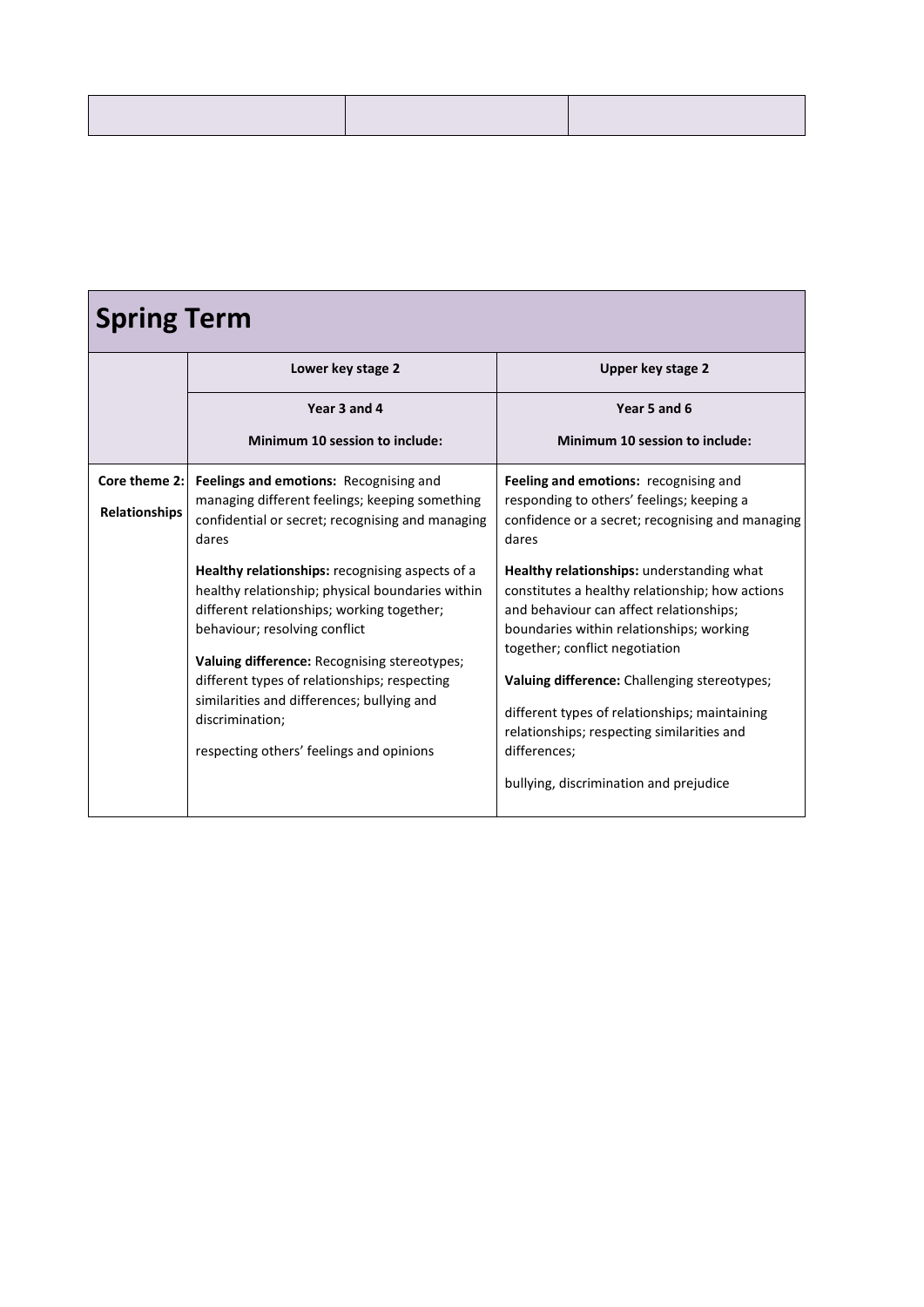| <b>Spring Term</b>             |                                                                                                                                                                                                                                                                                                                                                                                                                                                                                                                                                          |                                                                                                                                                                                                                                                                                                                                                                                                                                                                                                                                                                                   |  |
|--------------------------------|----------------------------------------------------------------------------------------------------------------------------------------------------------------------------------------------------------------------------------------------------------------------------------------------------------------------------------------------------------------------------------------------------------------------------------------------------------------------------------------------------------------------------------------------------------|-----------------------------------------------------------------------------------------------------------------------------------------------------------------------------------------------------------------------------------------------------------------------------------------------------------------------------------------------------------------------------------------------------------------------------------------------------------------------------------------------------------------------------------------------------------------------------------|--|
|                                | Lower key stage 2                                                                                                                                                                                                                                                                                                                                                                                                                                                                                                                                        | Upper key stage 2                                                                                                                                                                                                                                                                                                                                                                                                                                                                                                                                                                 |  |
|                                | Year 3 and 4                                                                                                                                                                                                                                                                                                                                                                                                                                                                                                                                             | Year 5 and 6                                                                                                                                                                                                                                                                                                                                                                                                                                                                                                                                                                      |  |
|                                | Minimum 10 session to include:                                                                                                                                                                                                                                                                                                                                                                                                                                                                                                                           | Minimum 10 session to include:                                                                                                                                                                                                                                                                                                                                                                                                                                                                                                                                                    |  |
| Core theme 2:<br>Relationships | Feelings and emotions: Recognising and<br>managing different feelings; keeping something<br>confidential or secret; recognising and managing<br>dares<br>Healthy relationships: recognising aspects of a<br>healthy relationship; physical boundaries within<br>different relationships; working together;<br>behaviour; resolving conflict<br>Valuing difference: Recognising stereotypes;<br>different types of relationships; respecting<br>similarities and differences; bullying and<br>discrimination;<br>respecting others' feelings and opinions | Feeling and emotions: recognising and<br>responding to others' feelings; keeping a<br>confidence or a secret; recognising and managing<br>dares<br>Healthy relationships: understanding what<br>constitutes a healthy relationship; how actions<br>and behaviour can affect relationships;<br>boundaries within relationships; working<br>together; conflict negotiation<br>Valuing difference: Challenging stereotypes;<br>different types of relationships; maintaining<br>relationships; respecting similarities and<br>differences;<br>bullying, discrimination and prejudice |  |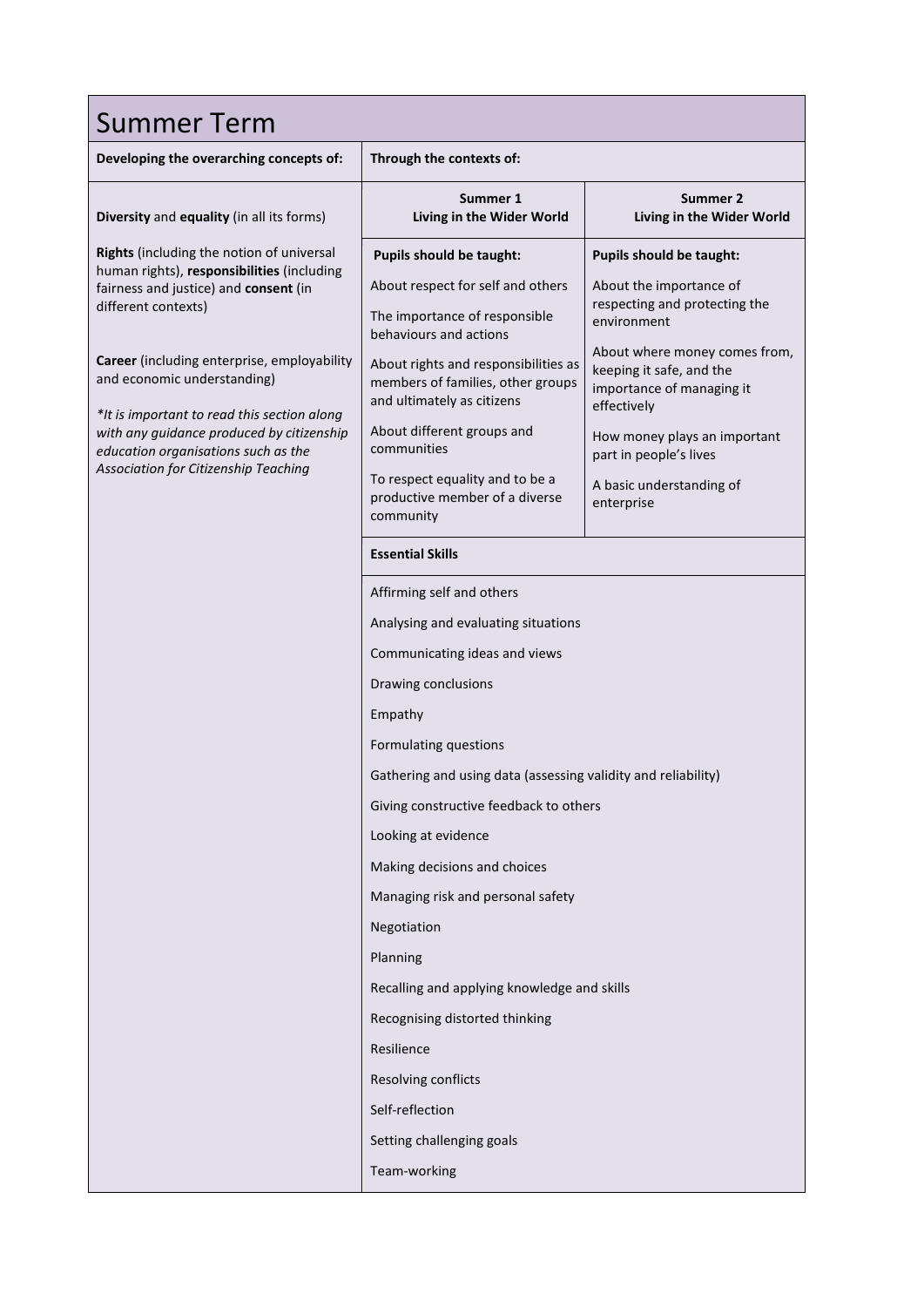| <b>Summer Term</b>                                                                                                                                                                                                                                                                                                                                                                                                      |                                                                                                                                                                                                                                                                                                                                                                                                                                               |                                                                                                                                                                                                                                                                                                                  |  |
|-------------------------------------------------------------------------------------------------------------------------------------------------------------------------------------------------------------------------------------------------------------------------------------------------------------------------------------------------------------------------------------------------------------------------|-----------------------------------------------------------------------------------------------------------------------------------------------------------------------------------------------------------------------------------------------------------------------------------------------------------------------------------------------------------------------------------------------------------------------------------------------|------------------------------------------------------------------------------------------------------------------------------------------------------------------------------------------------------------------------------------------------------------------------------------------------------------------|--|
| Developing the overarching concepts of:                                                                                                                                                                                                                                                                                                                                                                                 | Through the contexts of:                                                                                                                                                                                                                                                                                                                                                                                                                      |                                                                                                                                                                                                                                                                                                                  |  |
| Diversity and equality (in all its forms)                                                                                                                                                                                                                                                                                                                                                                               | Summer 1<br>Living in the Wider World                                                                                                                                                                                                                                                                                                                                                                                                         | Summer 2<br>Living in the Wider World                                                                                                                                                                                                                                                                            |  |
| Rights (including the notion of universal<br>human rights), responsibilities (including<br>fairness and justice) and consent (in<br>different contexts)<br><b>Career</b> (including enterprise, employability<br>and economic understanding)<br>*It is important to read this section along<br>with any guidance produced by citizenship<br>education organisations such as the<br>Association for Citizenship Teaching | Pupils should be taught:<br>About respect for self and others<br>The importance of responsible<br>behaviours and actions<br>About rights and responsibilities as<br>members of families, other groups<br>and ultimately as citizens<br>About different groups and<br>communities<br>To respect equality and to be a<br>productive member of a diverse<br>community                                                                            | Pupils should be taught:<br>About the importance of<br>respecting and protecting the<br>environment<br>About where money comes from,<br>keeping it safe, and the<br>importance of managing it<br>effectively<br>How money plays an important<br>part in people's lives<br>A basic understanding of<br>enterprise |  |
|                                                                                                                                                                                                                                                                                                                                                                                                                         | <b>Essential Skills</b>                                                                                                                                                                                                                                                                                                                                                                                                                       |                                                                                                                                                                                                                                                                                                                  |  |
|                                                                                                                                                                                                                                                                                                                                                                                                                         | Affirming self and others<br>Analysing and evaluating situations<br>Communicating ideas and views<br>Drawing conclusions<br>Empathy<br>Formulating questions<br>Gathering and using data (assessing validity and reliability)<br>Giving constructive feedback to others<br>Looking at evidence<br>Making decisions and choices<br>Managing risk and personal safety<br>Negotiation<br>Planning<br>Recalling and applying knowledge and skills |                                                                                                                                                                                                                                                                                                                  |  |
|                                                                                                                                                                                                                                                                                                                                                                                                                         | Recognising distorted thinking<br>Resilience<br>Resolving conflicts<br>Self-reflection<br>Setting challenging goals<br>Team-working                                                                                                                                                                                                                                                                                                           |                                                                                                                                                                                                                                                                                                                  |  |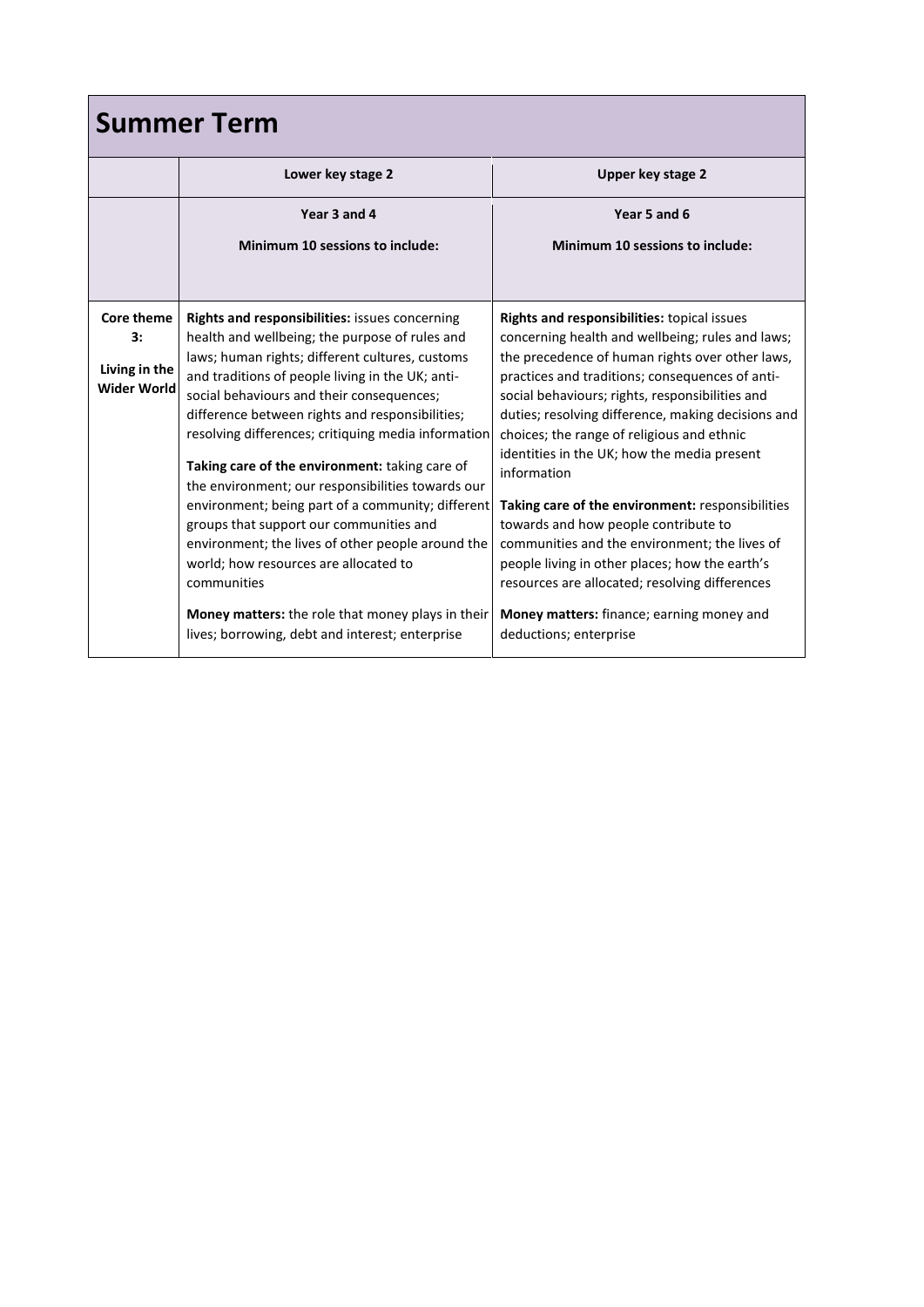| <b>Summer Term</b>      |                                                                                                             |                                                                                                     |  |
|-------------------------|-------------------------------------------------------------------------------------------------------------|-----------------------------------------------------------------------------------------------------|--|
|                         | Lower key stage 2                                                                                           | Upper key stage 2                                                                                   |  |
|                         | Year 3 and 4                                                                                                | Year 5 and 6                                                                                        |  |
|                         | Minimum 10 sessions to include:                                                                             | Minimum 10 sessions to include:                                                                     |  |
|                         |                                                                                                             |                                                                                                     |  |
| <b>Core theme</b><br>3: | Rights and responsibilities: issues concerning                                                              | Rights and responsibilities: topical issues                                                         |  |
|                         | health and wellbeing; the purpose of rules and<br>laws; human rights; different cultures, customs           | concerning health and wellbeing; rules and laws;<br>the precedence of human rights over other laws, |  |
| Living in the           | and traditions of people living in the UK; anti-                                                            | practices and traditions; consequences of anti-                                                     |  |
| <b>Wider World</b>      | social behaviours and their consequences;                                                                   | social behaviours; rights, responsibilities and                                                     |  |
|                         | difference between rights and responsibilities;                                                             | duties; resolving difference, making decisions and                                                  |  |
|                         | resolving differences; critiquing media information                                                         | choices; the range of religious and ethnic<br>identities in the UK; how the media present           |  |
|                         | Taking care of the environment: taking care of                                                              | information                                                                                         |  |
|                         | the environment; our responsibilities towards our                                                           |                                                                                                     |  |
|                         | environment; being part of a community; different<br>groups that support our communities and                | Taking care of the environment: responsibilities<br>towards and how people contribute to            |  |
|                         | environment; the lives of other people around the                                                           | communities and the environment; the lives of                                                       |  |
|                         | world; how resources are allocated to                                                                       | people living in other places; how the earth's                                                      |  |
|                         | communities                                                                                                 | resources are allocated; resolving differences                                                      |  |
|                         | <b>Money matters:</b> the role that money plays in their<br>lives; borrowing, debt and interest; enterprise | Money matters: finance; earning money and<br>deductions; enterprise                                 |  |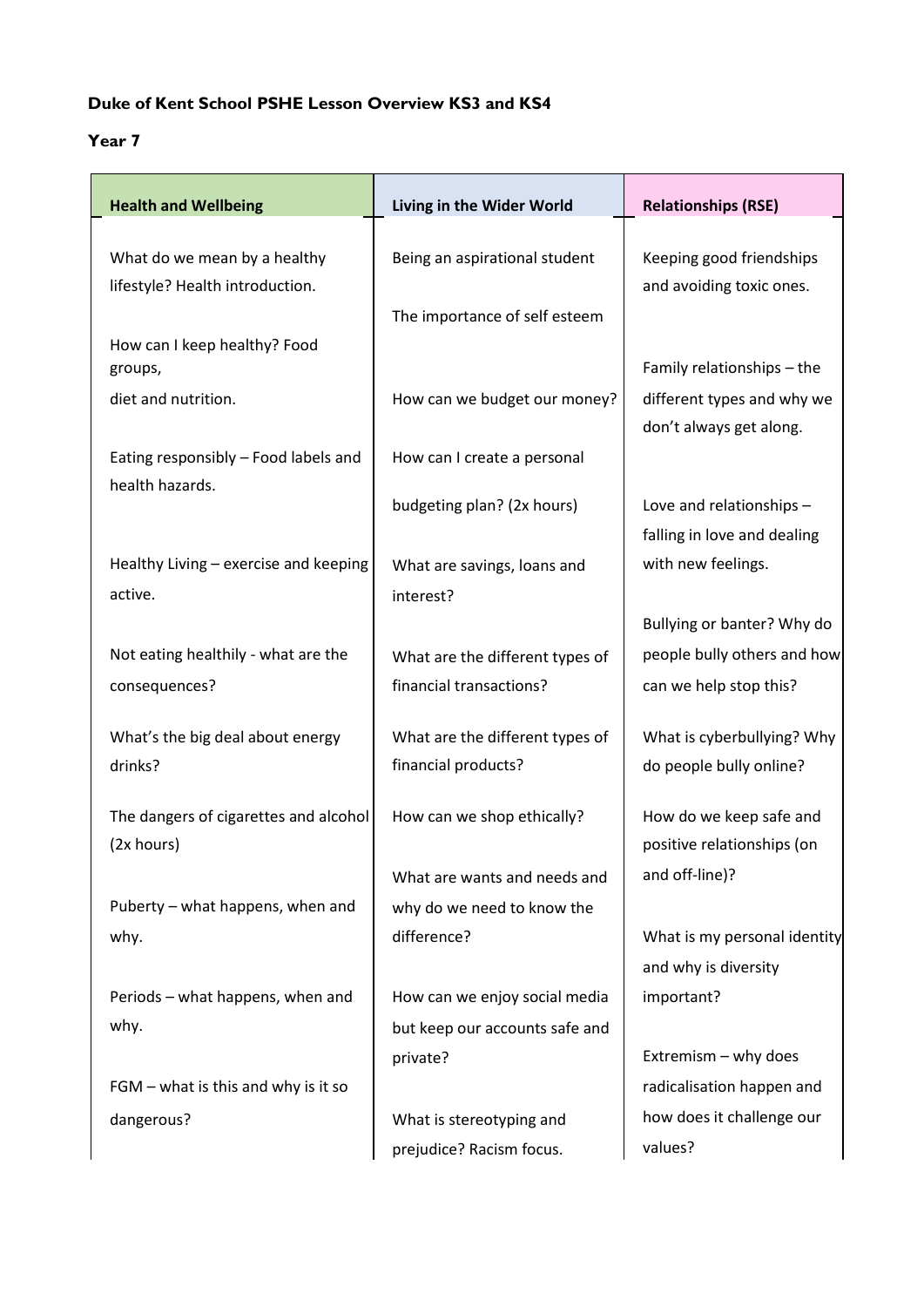## **Duke of Kent School PSHE Lesson Overview KS3 and KS4**

# **Year 7**

| <b>Health and Wellbeing</b>                                     | Living in the Wider World                                  | <b>Relationships (RSE)</b>                               |
|-----------------------------------------------------------------|------------------------------------------------------------|----------------------------------------------------------|
| What do we mean by a healthy<br>lifestyle? Health introduction. | Being an aspirational student                              | Keeping good friendships<br>and avoiding toxic ones.     |
|                                                                 | The importance of self esteem                              |                                                          |
| How can I keep healthy? Food<br>groups,<br>diet and nutrition.  | How can we budget our money?                               | Family relationships - the<br>different types and why we |
|                                                                 |                                                            | don't always get along.                                  |
| Eating responsibly - Food labels and                            | How can I create a personal                                |                                                          |
| health hazards.                                                 | budgeting plan? (2x hours)                                 | Love and relationships -<br>falling in love and dealing  |
| Healthy Living - exercise and keeping<br>active.                | What are savings, loans and<br>interest?                   | with new feelings.                                       |
|                                                                 |                                                            | Bullying or banter? Why do                               |
| Not eating healthily - what are the<br>consequences?            | What are the different types of<br>financial transactions? | people bully others and how<br>can we help stop this?    |
| What's the big deal about energy<br>drinks?                     | What are the different types of<br>financial products?     | What is cyberbullying? Why<br>do people bully online?    |
| The dangers of cigarettes and alcohol<br>(2x hours)             | How can we shop ethically?                                 | How do we keep safe and<br>positive relationships (on    |
|                                                                 | What are wants and needs and                               | and off-line)?                                           |
| Puberty - what happens, when and                                | why do we need to know the                                 |                                                          |
| why.                                                            | difference?                                                | What is my personal identity<br>and why is diversity     |
| Periods - what happens, when and                                | How can we enjoy social media                              | important?                                               |
| why.                                                            | but keep our accounts safe and                             |                                                          |
| $FGM$ – what is this and why is it so                           | private?                                                   | Extremism - why does<br>radicalisation happen and        |
| dangerous?                                                      | What is stereotyping and                                   | how does it challenge our                                |
|                                                                 | prejudice? Racism focus.                                   | values?                                                  |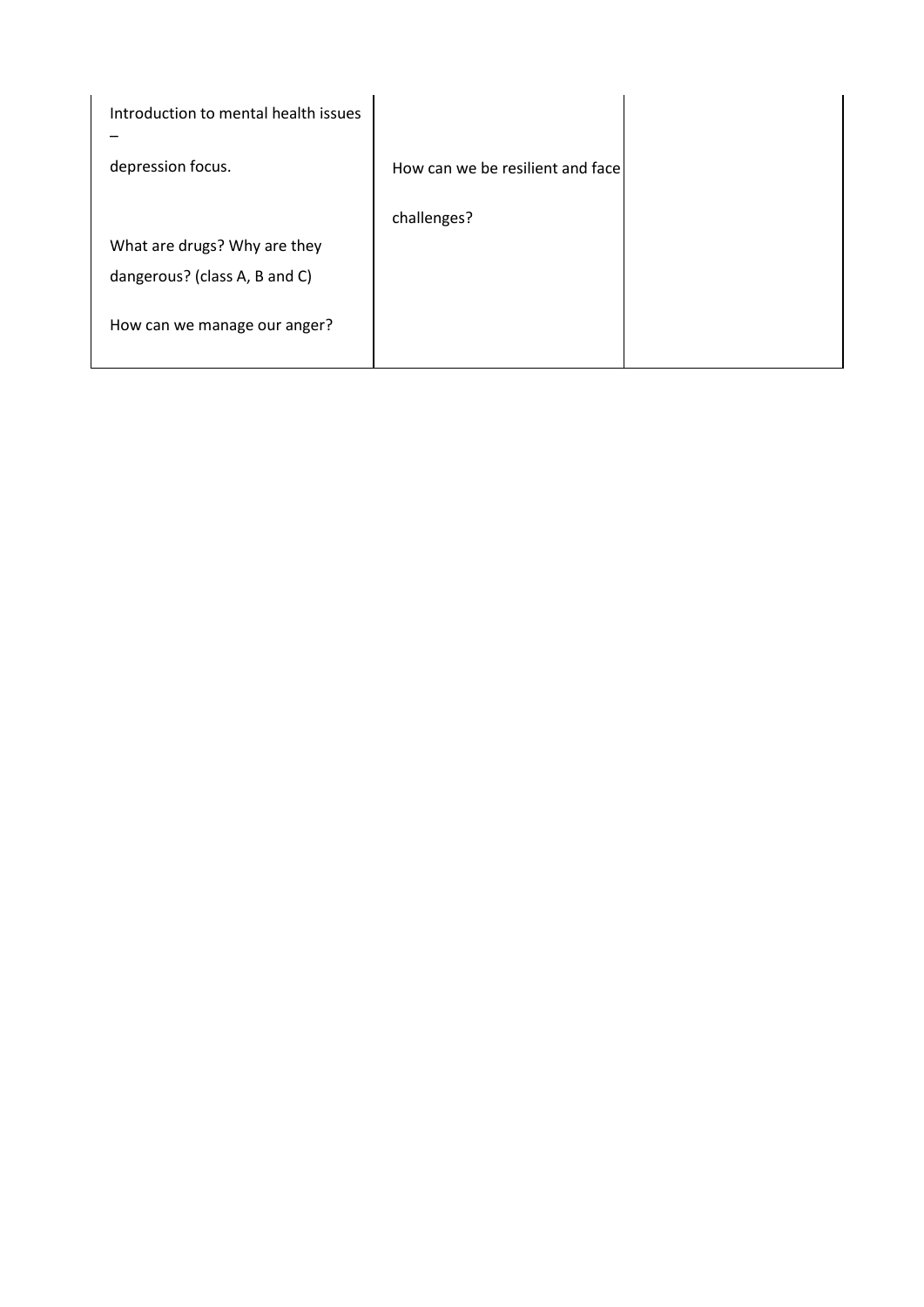| Introduction to mental health issues |                                  |  |
|--------------------------------------|----------------------------------|--|
| depression focus.                    | How can we be resilient and face |  |
|                                      | challenges?                      |  |
| What are drugs? Why are they         |                                  |  |
| dangerous? (class A, B and C)        |                                  |  |
| How can we manage our anger?         |                                  |  |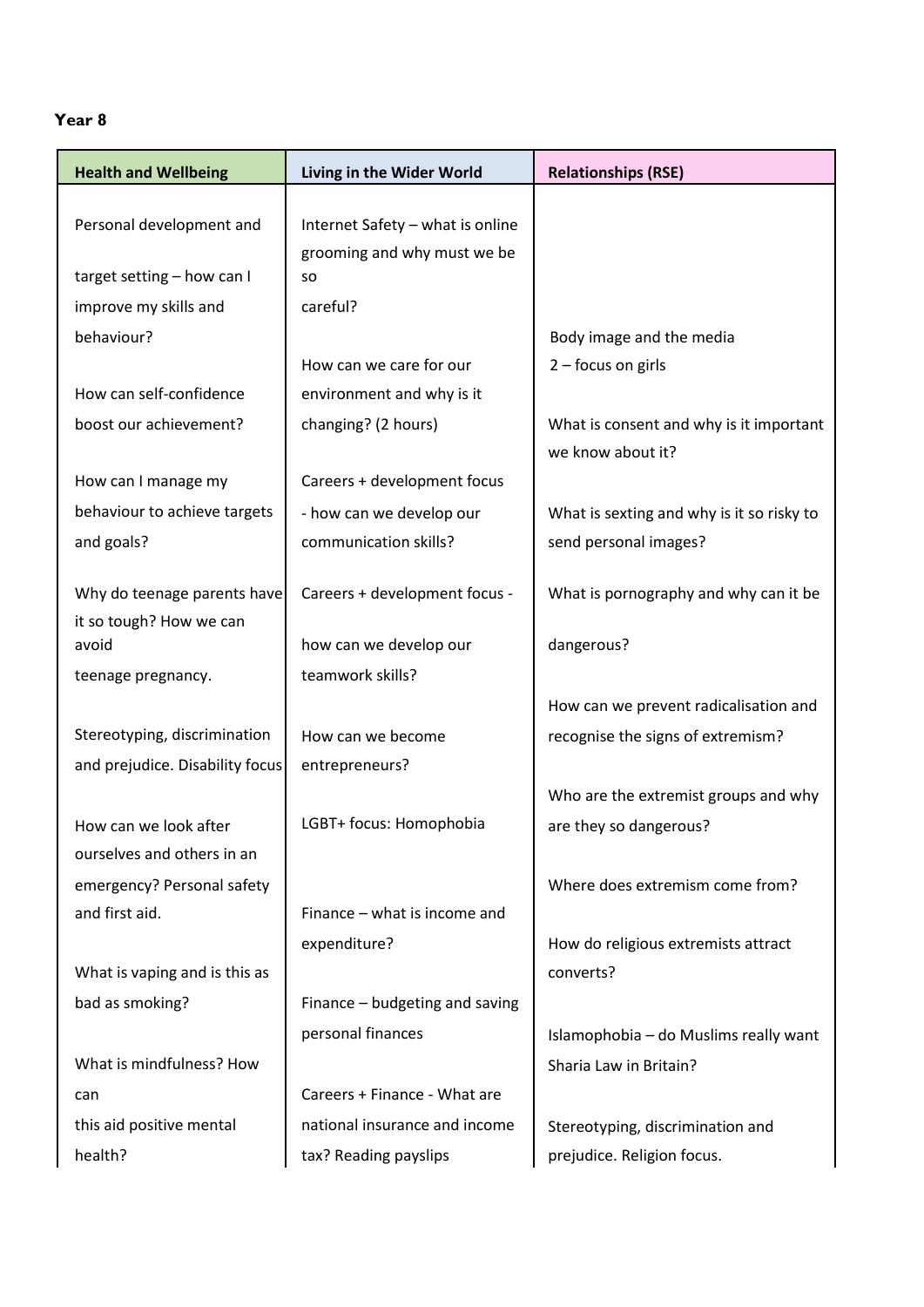## **Year 8**

| <b>Health and Wellbeing</b>     | Living in the Wider World                | <b>Relationships (RSE)</b>                |
|---------------------------------|------------------------------------------|-------------------------------------------|
|                                 |                                          |                                           |
| Personal development and        | Internet Safety - what is online         |                                           |
| target setting - how can I      | grooming and why must we be<br><b>SO</b> |                                           |
| improve my skills and           | careful?                                 |                                           |
| behaviour?                      |                                          | Body image and the media                  |
|                                 | How can we care for our                  | 2 - focus on girls                        |
| How can self-confidence         | environment and why is it                |                                           |
| boost our achievement?          | changing? (2 hours)                      | What is consent and why is it important   |
|                                 |                                          | we know about it?                         |
| How can I manage my             | Careers + development focus              |                                           |
| behaviour to achieve targets    | - how can we develop our                 | What is sexting and why is it so risky to |
| and goals?                      | communication skills?                    | send personal images?                     |
| Why do teenage parents have     | Careers + development focus -            | What is pornography and why can it be     |
| it so tough? How we can         |                                          |                                           |
| avoid                           | how can we develop our                   | dangerous?                                |
| teenage pregnancy.              | teamwork skills?                         |                                           |
|                                 |                                          | How can we prevent radicalisation and     |
| Stereotyping, discrimination    | How can we become                        | recognise the signs of extremism?         |
| and prejudice. Disability focus | entrepreneurs?                           |                                           |
|                                 |                                          | Who are the extremist groups and why      |
| How can we look after           | LGBT+ focus: Homophobia                  | are they so dangerous?                    |
| ourselves and others in an      |                                          |                                           |
| emergency? Personal safety      |                                          | Where does extremism come from?           |
| and first aid.                  | Finance – what is income and             |                                           |
|                                 | expenditure?                             | How do religious extremists attract       |
| What is vaping and is this as   |                                          | converts?                                 |
| bad as smoking?                 | Finance - budgeting and saving           |                                           |
|                                 | personal finances                        | Islamophobia - do Muslims really want     |
| What is mindfulness? How        |                                          | Sharia Law in Britain?                    |
| can                             | Careers + Finance - What are             |                                           |
| this aid positive mental        | national insurance and income            | Stereotyping, discrimination and          |
| health?                         | tax? Reading payslips                    | prejudice. Religion focus.                |
|                                 |                                          |                                           |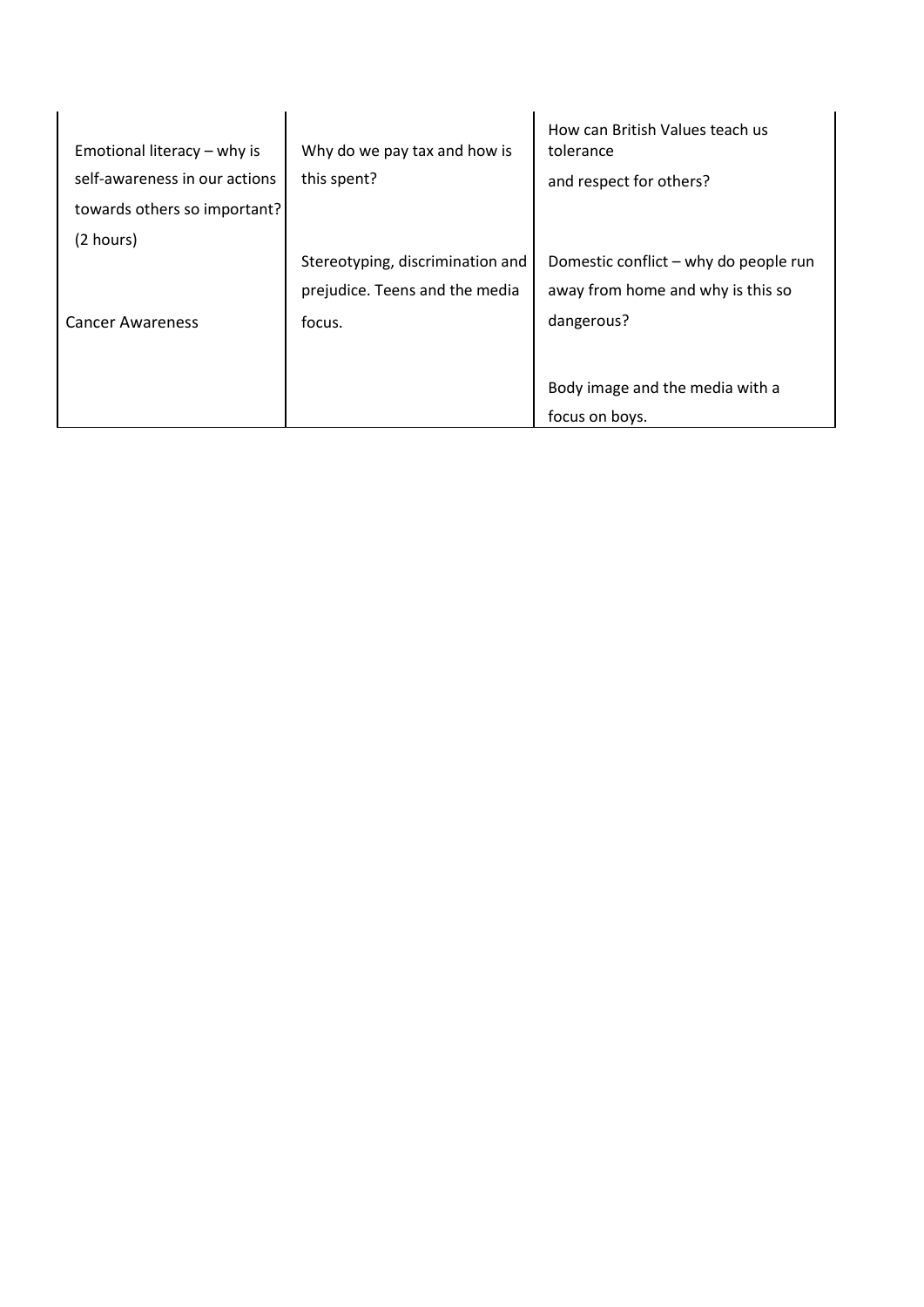| Emotional literacy – why is<br>self-awareness in our actions<br>towards others so important? | Why do we pay tax and how is<br>this spent?                        | How can British Values teach us<br>tolerance<br>and respect for others?    |
|----------------------------------------------------------------------------------------------|--------------------------------------------------------------------|----------------------------------------------------------------------------|
| (2 hours)                                                                                    | Stereotyping, discrimination and<br>prejudice. Teens and the media | Domestic conflict – why do people run<br>away from home and why is this so |
| <b>Cancer Awareness</b>                                                                      | focus.                                                             | dangerous?<br>Body image and the media with a<br>focus on boys.            |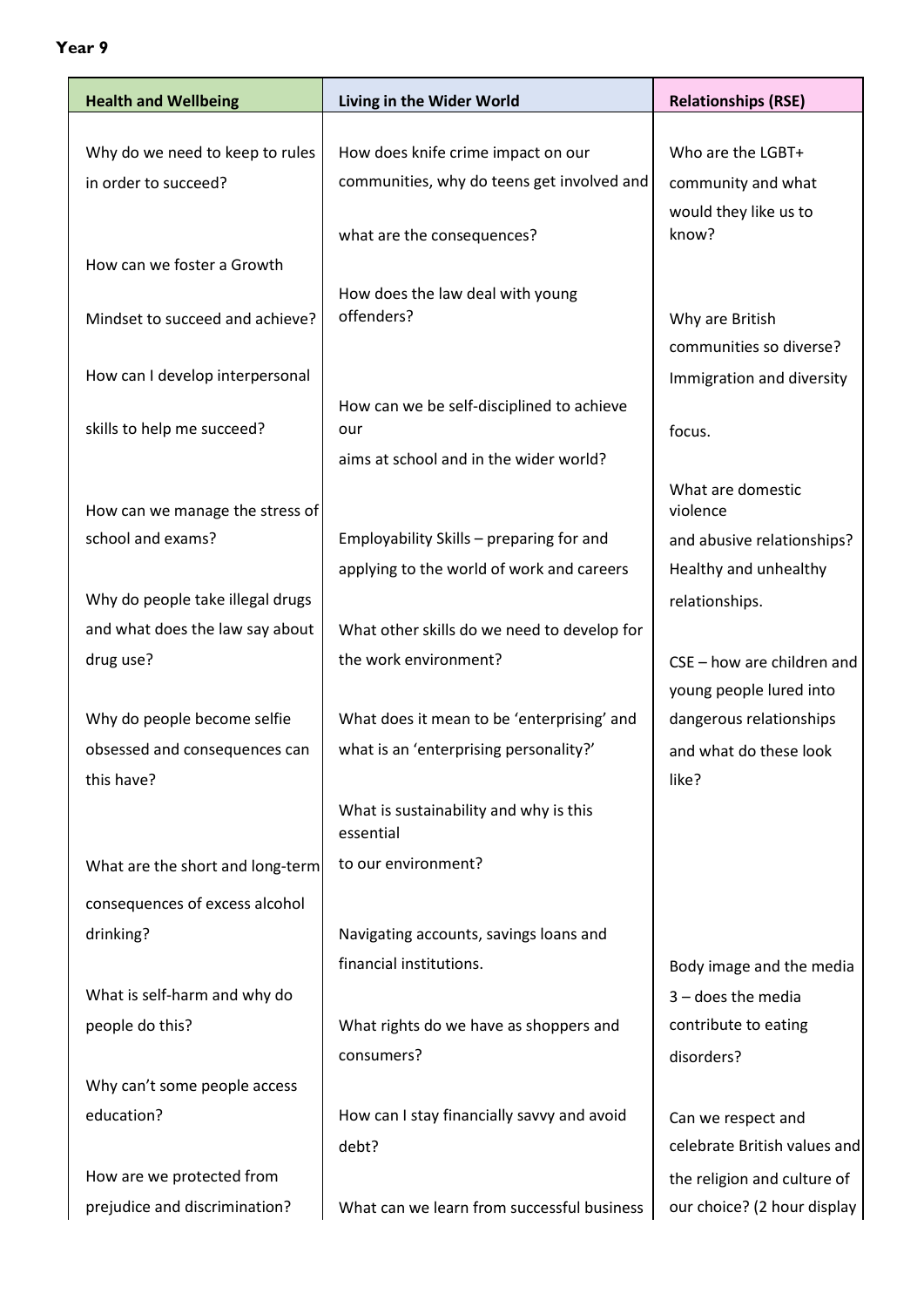# **Year 9**

| <b>Health and Wellbeing</b>      | Living in the Wider World                           | <b>Relationships (RSE)</b>                         |
|----------------------------------|-----------------------------------------------------|----------------------------------------------------|
|                                  |                                                     |                                                    |
| Why do we need to keep to rules  | How does knife crime impact on our                  | Who are the LGBT+                                  |
| in order to succeed?             | communities, why do teens get involved and          | community and what                                 |
|                                  |                                                     | would they like us to                              |
|                                  | what are the consequences?                          | know?                                              |
| How can we foster a Growth       |                                                     |                                                    |
| Mindset to succeed and achieve?  | How does the law deal with young<br>offenders?      | Why are British                                    |
|                                  |                                                     | communities so diverse?                            |
| How can I develop interpersonal  |                                                     |                                                    |
|                                  |                                                     | Immigration and diversity                          |
| skills to help me succeed?       | How can we be self-disciplined to achieve<br>our    | focus.                                             |
|                                  | aims at school and in the wider world?              |                                                    |
|                                  |                                                     | What are domestic                                  |
| How can we manage the stress of  |                                                     | violence                                           |
| school and exams?                | Employability Skills - preparing for and            | and abusive relationships?                         |
|                                  | applying to the world of work and careers           | Healthy and unhealthy                              |
| Why do people take illegal drugs |                                                     | relationships.                                     |
| and what does the law say about  | What other skills do we need to develop for         |                                                    |
| drug use?                        | the work environment?                               | CSE - how are children and                         |
|                                  |                                                     |                                                    |
|                                  |                                                     | young people lured into<br>dangerous relationships |
| Why do people become selfie      | What does it mean to be 'enterprising' and          |                                                    |
| obsessed and consequences can    | what is an 'enterprising personality?'              | and what do these look                             |
| this have?                       |                                                     | like?                                              |
|                                  | What is sustainability and why is this<br>essential |                                                    |
|                                  | to our environment?                                 |                                                    |
| What are the short and long-term |                                                     |                                                    |
| consequences of excess alcohol   |                                                     |                                                    |
| drinking?                        | Navigating accounts, savings loans and              |                                                    |
|                                  | financial institutions.                             | Body image and the media                           |
| What is self-harm and why do     |                                                     | $3$ – does the media                               |
| people do this?                  | What rights do we have as shoppers and              | contribute to eating                               |
|                                  | consumers?                                          | disorders?                                         |
| Why can't some people access     |                                                     |                                                    |
| education?                       | How can I stay financially savvy and avoid          | Can we respect and                                 |
|                                  | debt?                                               | celebrate British values and                       |
| How are we protected from        |                                                     | the religion and culture of                        |
| prejudice and discrimination?    | What can we learn from successful business          | our choice? (2 hour display                        |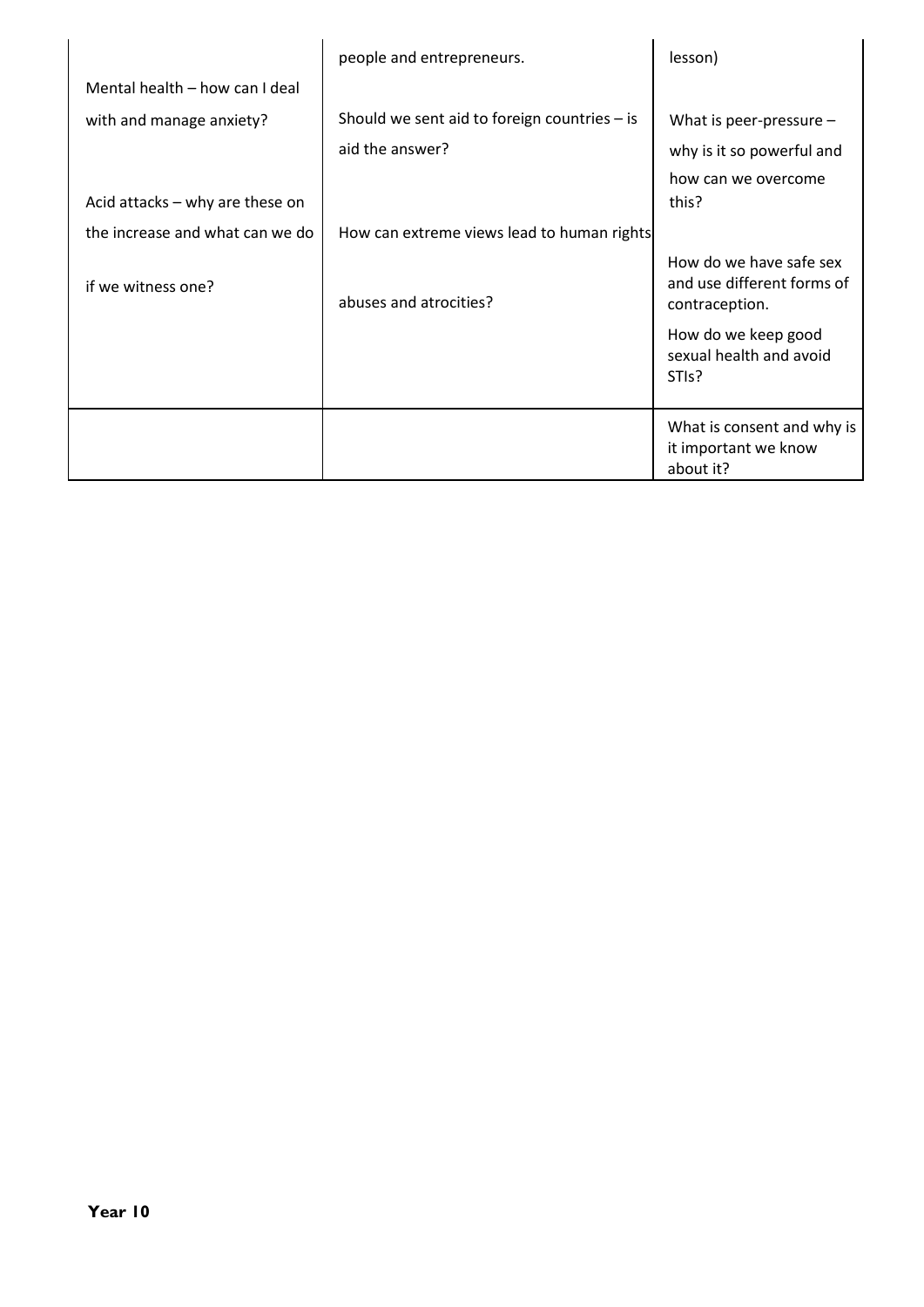|                                   | people and entrepreneurs.                      | lesson)                                                                 |
|-----------------------------------|------------------------------------------------|-------------------------------------------------------------------------|
| Mental health - how can I deal    |                                                |                                                                         |
| with and manage anxiety?          | Should we sent aid to foreign countries $-$ is | What is peer-pressure $-$                                               |
|                                   | aid the answer?                                | why is it so powerful and                                               |
| Acid attacks $-$ why are these on |                                                | how can we overcome<br>this?                                            |
| the increase and what can we do   | How can extreme views lead to human rights     |                                                                         |
| if we witness one?                | abuses and atrocities?                         | How do we have safe sex<br>and use different forms of<br>contraception. |
|                                   |                                                | How do we keep good<br>sexual health and avoid<br>STI <sub>s</sub> ?    |
|                                   |                                                | What is consent and why is<br>it important we know<br>about it?         |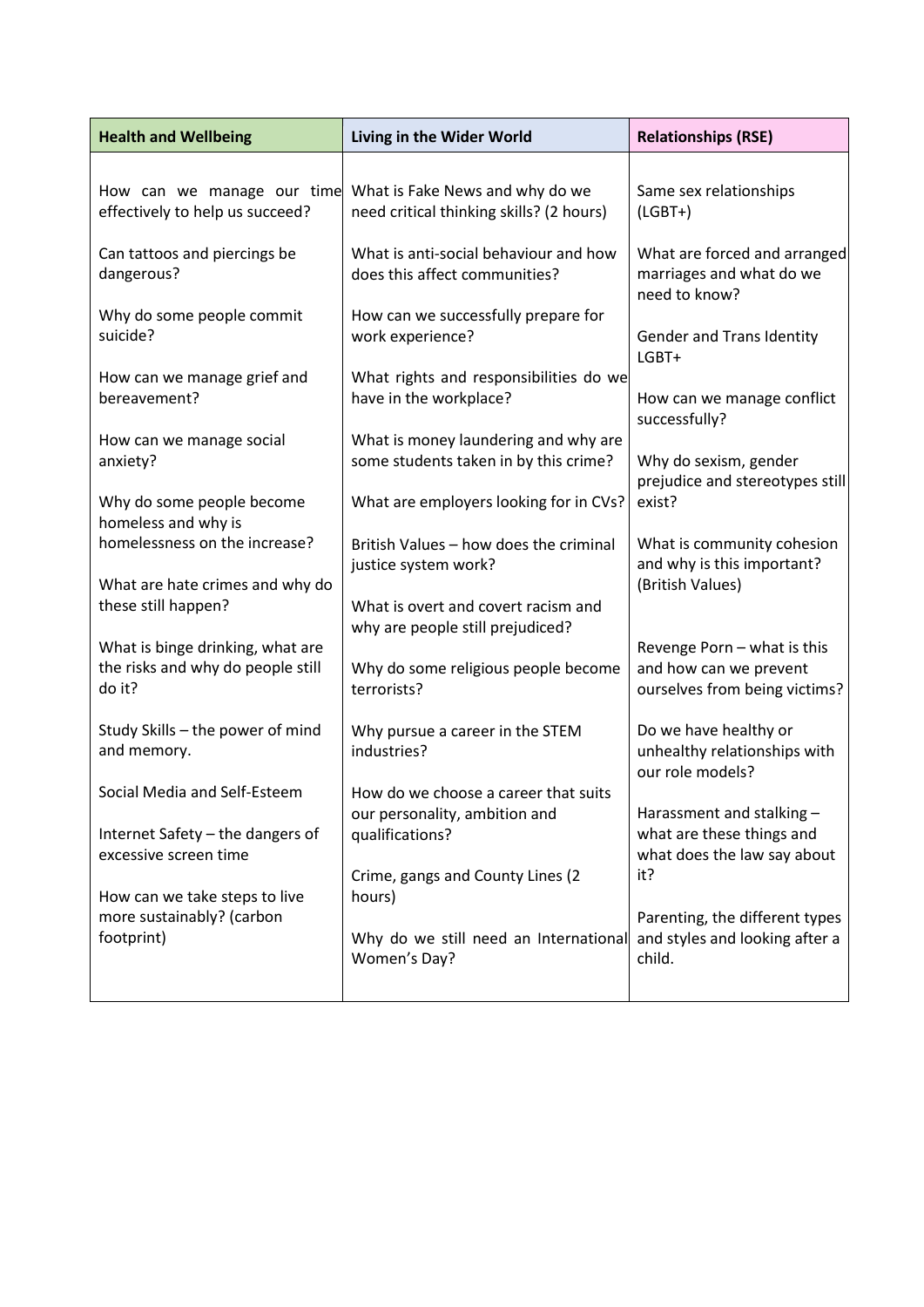| <b>Health and Wellbeing</b>                                                       | Living in the Wider World                                                                | <b>Relationships (RSE)</b>                                                             |
|-----------------------------------------------------------------------------------|------------------------------------------------------------------------------------------|----------------------------------------------------------------------------------------|
| How can we manage our time<br>effectively to help us succeed?                     | What is Fake News and why do we<br>need critical thinking skills? (2 hours)              | Same sex relationships<br>$(LGBT+)$                                                    |
| Can tattoos and piercings be<br>dangerous?                                        | What is anti-social behaviour and how<br>does this affect communities?                   | What are forced and arranged<br>marriages and what do we<br>need to know?              |
| Why do some people commit<br>suicide?                                             | How can we successfully prepare for<br>work experience?                                  | Gender and Trans Identity<br>LGBT+                                                     |
| How can we manage grief and<br>bereavement?                                       | What rights and responsibilities do we<br>have in the workplace?                         | How can we manage conflict<br>successfully?                                            |
| How can we manage social<br>anxiety?                                              | What is money laundering and why are<br>some students taken in by this crime?            | Why do sexism, gender<br>prejudice and stereotypes still                               |
| Why do some people become<br>homeless and why is<br>homelessness on the increase? | What are employers looking for in CVs?<br>British Values - how does the criminal         | exist?<br>What is community cohesion                                                   |
| What are hate crimes and why do                                                   | justice system work?                                                                     | and why is this important?<br>(British Values)                                         |
| these still happen?                                                               | What is overt and covert racism and<br>why are people still prejudiced?                  |                                                                                        |
| What is binge drinking, what are<br>the risks and why do people still<br>do it?   | Why do some religious people become<br>terrorists?                                       | Revenge Porn - what is this<br>and how can we prevent<br>ourselves from being victims? |
| Study Skills - the power of mind<br>and memory.                                   | Why pursue a career in the STEM<br>industries?                                           | Do we have healthy or<br>unhealthy relationships with<br>our role models?              |
| Social Media and Self-Esteem<br>Internet Safety - the dangers of                  | How do we choose a career that suits<br>our personality, ambition and<br>qualifications? | Harassment and stalking -<br>what are these things and                                 |
| excessive screen time                                                             | Crime, gangs and County Lines (2                                                         | what does the law say about<br>it?                                                     |
| How can we take steps to live<br>more sustainably? (carbon<br>footprint)          | hours)<br>Why do we still need an International<br>Women's Day?                          | Parenting, the different types<br>and styles and looking after a<br>child.             |